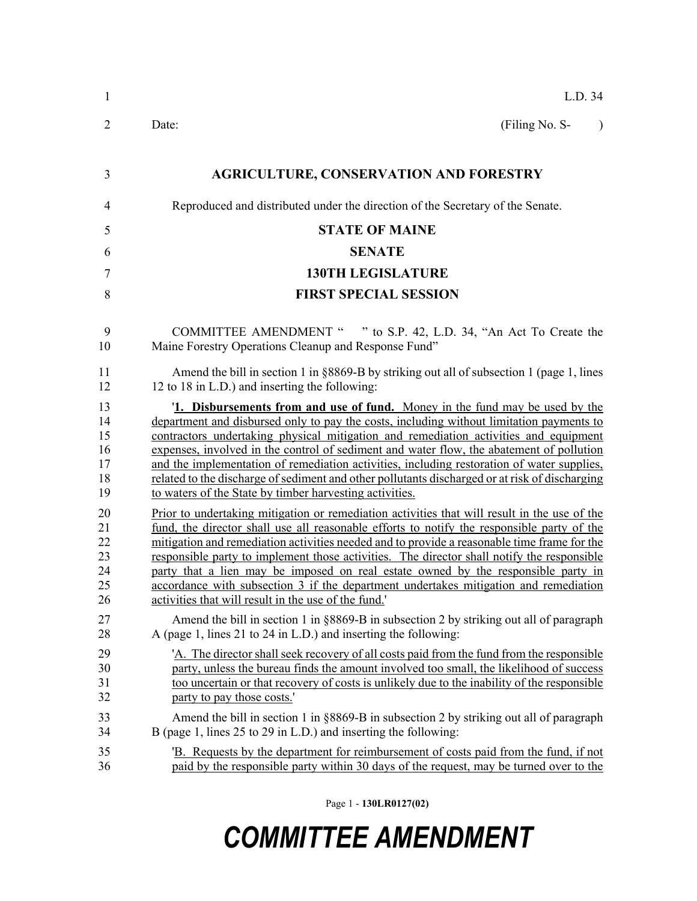| $\mathbf{1}$                                                                           | L.D. 34                                                                                                                                                                                                                                                                                                                                                                                                                                                                                                                                                                                                                                                                                                                                                                                                                                                                                                                                                                                                                                                                                                                                                                                                                                                                                                                                           |  |  |
|----------------------------------------------------------------------------------------|---------------------------------------------------------------------------------------------------------------------------------------------------------------------------------------------------------------------------------------------------------------------------------------------------------------------------------------------------------------------------------------------------------------------------------------------------------------------------------------------------------------------------------------------------------------------------------------------------------------------------------------------------------------------------------------------------------------------------------------------------------------------------------------------------------------------------------------------------------------------------------------------------------------------------------------------------------------------------------------------------------------------------------------------------------------------------------------------------------------------------------------------------------------------------------------------------------------------------------------------------------------------------------------------------------------------------------------------------|--|--|
| $\overline{2}$                                                                         | Date:<br>(Filing No. S-<br>$\lambda$                                                                                                                                                                                                                                                                                                                                                                                                                                                                                                                                                                                                                                                                                                                                                                                                                                                                                                                                                                                                                                                                                                                                                                                                                                                                                                              |  |  |
| 3                                                                                      | <b>AGRICULTURE, CONSERVATION AND FORESTRY</b>                                                                                                                                                                                                                                                                                                                                                                                                                                                                                                                                                                                                                                                                                                                                                                                                                                                                                                                                                                                                                                                                                                                                                                                                                                                                                                     |  |  |
| $\overline{4}$                                                                         | Reproduced and distributed under the direction of the Secretary of the Senate.                                                                                                                                                                                                                                                                                                                                                                                                                                                                                                                                                                                                                                                                                                                                                                                                                                                                                                                                                                                                                                                                                                                                                                                                                                                                    |  |  |
| 5                                                                                      | <b>STATE OF MAINE</b>                                                                                                                                                                                                                                                                                                                                                                                                                                                                                                                                                                                                                                                                                                                                                                                                                                                                                                                                                                                                                                                                                                                                                                                                                                                                                                                             |  |  |
| 6                                                                                      | <b>SENATE</b>                                                                                                                                                                                                                                                                                                                                                                                                                                                                                                                                                                                                                                                                                                                                                                                                                                                                                                                                                                                                                                                                                                                                                                                                                                                                                                                                     |  |  |
| $\tau$                                                                                 | <b>130TH LEGISLATURE</b>                                                                                                                                                                                                                                                                                                                                                                                                                                                                                                                                                                                                                                                                                                                                                                                                                                                                                                                                                                                                                                                                                                                                                                                                                                                                                                                          |  |  |
| 8                                                                                      | <b>FIRST SPECIAL SESSION</b>                                                                                                                                                                                                                                                                                                                                                                                                                                                                                                                                                                                                                                                                                                                                                                                                                                                                                                                                                                                                                                                                                                                                                                                                                                                                                                                      |  |  |
| 9<br>10                                                                                | COMMITTEE AMENDMENT " " to S.P. 42, L.D. 34, "An Act To Create the<br>Maine Forestry Operations Cleanup and Response Fund"                                                                                                                                                                                                                                                                                                                                                                                                                                                                                                                                                                                                                                                                                                                                                                                                                                                                                                                                                                                                                                                                                                                                                                                                                        |  |  |
| 11<br>12                                                                               | Amend the bill in section 1 in $\S 8869-B$ by striking out all of subsection 1 (page 1, lines<br>12 to 18 in L.D.) and inserting the following:                                                                                                                                                                                                                                                                                                                                                                                                                                                                                                                                                                                                                                                                                                                                                                                                                                                                                                                                                                                                                                                                                                                                                                                                   |  |  |
| 13<br>14<br>15<br>16<br>17<br>18<br>19<br>20<br>21<br>22<br>23<br>24<br>25<br>26<br>27 | 1. Disbursements from and use of fund. Money in the fund may be used by the<br>department and disbursed only to pay the costs, including without limitation payments to<br>contractors undertaking physical mitigation and remediation activities and equipment<br>expenses, involved in the control of sediment and water flow, the abatement of pollution<br>and the implementation of remediation activities, including restoration of water supplies,<br>related to the discharge of sediment and other pollutants discharged or at risk of discharging<br>to waters of the State by timber harvesting activities.<br>Prior to undertaking mitigation or remediation activities that will result in the use of the<br>fund, the director shall use all reasonable efforts to notify the responsible party of the<br>mitigation and remediation activities needed and to provide a reasonable time frame for the<br>responsible party to implement those activities. The director shall notify the responsible<br>party that a lien may be imposed on real estate owned by the responsible party in<br>accordance with subsection 3 if the department undertakes mitigation and remediation<br>activities that will result in the use of the fund."<br>Amend the bill in section 1 in §8869-B in subsection 2 by striking out all of paragraph |  |  |
| 28<br>29<br>30<br>31<br>32<br>33<br>34                                                 | A (page 1, lines 21 to 24 in L.D.) and inserting the following:<br>'A. The director shall seek recovery of all costs paid from the fund from the responsible<br>party, unless the bureau finds the amount involved too small, the likelihood of success<br>too uncertain or that recovery of costs is unlikely due to the inability of the responsible<br>party to pay those costs.<br>Amend the bill in section 1 in $\S 8869-B$ in subsection 2 by striking out all of paragraph<br>B (page 1, lines 25 to 29 in L.D.) and inserting the following:                                                                                                                                                                                                                                                                                                                                                                                                                                                                                                                                                                                                                                                                                                                                                                                             |  |  |
| 35<br>36                                                                               | B. Requests by the department for reimbursement of costs paid from the fund, if not<br>paid by the responsible party within 30 days of the request, may be turned over to the                                                                                                                                                                                                                                                                                                                                                                                                                                                                                                                                                                                                                                                                                                                                                                                                                                                                                                                                                                                                                                                                                                                                                                     |  |  |

Page 1 - **130LR0127(02)**

## *COMMITTEE AMENDMENT*